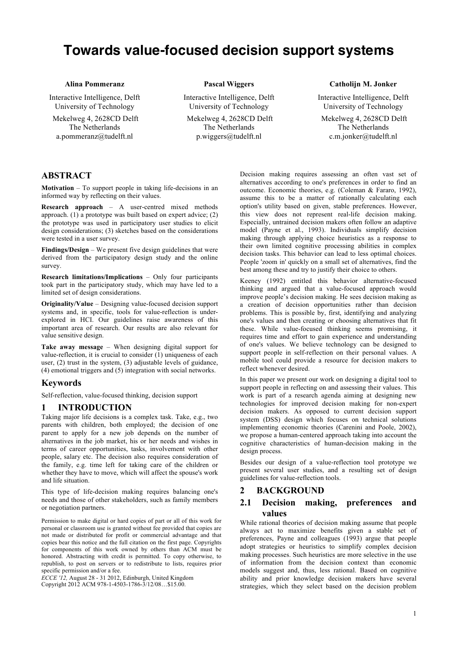# **Towards value-focused decision support systems**

#### **Alina Pommeranz**

Interactive Intelligence, Delft University of Technology

Mekelweg 4, 2628CD Delft The Netherlands a.pommeranz@tudelft.nl

**Pascal Wiggers**

Interactive Intelligence, Delft University of Technology

Mekelweg 4, 2628CD Delft The Netherlands p.wiggers@tudelft.nl

**Catholijn M. Jonker**

Interactive Intelligence, Delft University of Technology

Mekelweg 4, 2628CD Delft The Netherlands c.m.jonker@tudelft.nl

# **ABSTRACT**

**Motivation** – To support people in taking life-decisions in an informed way by reflecting on their values.

**Research approach** – A user-centred mixed methods approach. (1) a prototype was built based on expert advice; (2) the prototype was used in participatory user studies to elicit design considerations; (3) sketches based on the considerations were tested in a user survey.

**Findings/Design** – We present five design guidelines that were derived from the participatory design study and the online survey.

**Research limitations/Implications** – Only four participants took part in the participatory study, which may have led to a limited set of design considerations.

**Originality/Value** – Designing value-focused decision support systems and, in specific, tools for value-reflection is underexplored in HCI. Our guidelines raise awareness of this important area of research. Our results are also relevant for value sensitive design.

**Take away message** – When designing digital support for value-reflection, it is crucial to consider (1) uniqueness of each user, (2) trust in the system, (3) adjustable levels of guidance, (4) emotional triggers and (5) integration with social networks.

# **Keywords**

Self-reflection, value-focused thinking, decision support

# **1 INTRODUCTION**

Taking major life decisions is a complex task. Take, e.g., two parents with children, both employed; the decision of one parent to apply for a new job depends on the number of alternatives in the job market, his or her needs and wishes in terms of career opportunities, tasks, involvement with other people, salary etc. The decision also requires consideration of the family, e.g. time left for taking care of the children or whether they have to move, which will affect the spouse's work and life situation.

This type of life-decision making requires balancing one's needs and those of other stakeholders, such as family members or negotiation partners.

Permission to make digital or hard copies of part or all of this work for personal or classroom use is granted without fee provided that copies are not made or distributed for profit or commercial advantage and that copies bear this notice and the full citation on the first page. Copyrights for components of this work owned by others than ACM must be honored. Abstracting with credit is permitted. To copy otherwise, to republish, to post on servers or to redistribute to lists, requires prior specific permission and/or a fee.

*ECCE '12,* August 28 - 31 2012, Edinburgh, United Kingdom

Copyright 2012 ACM 978-1-4503-1786-3/12/08…\$15.00.

Decision making requires assessing an often vast set of alternatives according to one's preferences in order to find an outcome. Economic theories, e.g. (Coleman & Fararo, 1992), assume this to be a matter of rationally calculating each option's utility based on given, stable preferences. However, this view does not represent real-life decision making. Especially, untrained decision makers often follow an adaptive model (Payne et al., 1993). Individuals simplify decision making through applying choice heuristics as a response to their own limited cognitive processing abilities in complex decision tasks. This behavior can lead to less optimal choices. People 'zoom in' quickly on a small set of alternatives, find the best among these and try to justify their choice to others.

Keeney (1992) entitled this behavior alternative-focused thinking and argued that a value-focused approach would improve people's decision making. He sees decision making as a creation of decision opportunities rather than decision problems. This is possible by, first, identifying and analyzing one's values and then creating or choosing alternatives that fit these. While value-focused thinking seems promising, it requires time and effort to gain experience and understanding of one's values. We believe technology can be designed to support people in self-reflection on their personal values. A mobile tool could provide a resource for decision makers to reflect whenever desired.

In this paper we present our work on designing a digital tool to support people in reflecting on and assessing their values. This work is part of a research agenda aiming at designing new technologies for improved decision making for non-expert decision makers. As opposed to current decision support system (DSS) design which focuses on technical solutions implementing economic theories (Carenini and Poole, 2002), we propose a human-centered approach taking into account the cognitive characteristics of human-decision making in the design process.

Besides our design of a value-reflection tool prototype we present several user studies, and a resulting set of design guidelines for value-reflection tools.

# **2 BACKGROUND**

# **2.1 Decision making, preferences and values**

While rational theories of decision making assume that people always act to maximize benefits given a stable set of preferences, Payne and colleagues (1993) argue that people adopt strategies or heuristics to simplify complex decision making processes. Such heuristics are more selective in the use of information from the decision context than economic models suggest and, thus, less rational. Based on cognitive ability and prior knowledge decision makers have several strategies, which they select based on the decision problem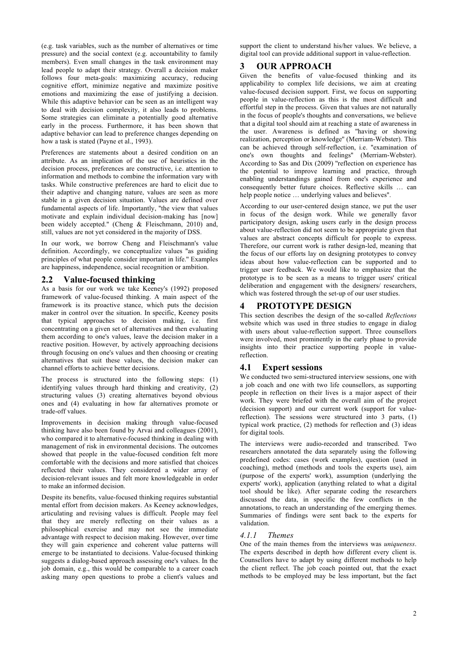(e.g. task variables, such as the number of alternatives or time pressure) and the social context (e.g. accountability to family members). Even small changes in the task environment may lead people to adapt their strategy. Overall a decision maker follows four meta-goals: maximizing accuracy, reducing cognitive effort, minimize negative and maximize positive emotions and maximizing the ease of justifying a decision. While this adaptive behavior can be seen as an intelligent way to deal with decision complexity, it also leads to problems. Some strategies can eliminate a potentially good alternative early in the process. Furthermore, it has been shown that adaptive behavior can lead to preference changes depending on how a task is stated (Payne et al., 1993).

Preferences are statements about a desired condition on an attribute. As an implication of the use of heuristics in the decision process, preferences are constructive, i.e. attention to information and methods to combine the information vary with tasks. While constructive preferences are hard to elicit due to their adaptive and changing nature, values are seen as more stable in a given decision situation. Values are defined over fundamental aspects of life. Importantly, "the view that values motivate and explain individual decision-making has [now] been widely accepted." (Cheng & Fleischmann, 2010) and, still, values are not yet considered in the majority of DSS.

In our work, we borrow Cheng and Fleischmann's value definition. Accordingly, we conceptualize values ''as guiding principles of what people consider important in life.'' Examples are happiness, independence, social recognition or ambition.

### **2.2 Value-focused thinking**

As a basis for our work we take Keeney's (1992) proposed framework of value-focused thinking. A main aspect of the framework is its proactive stance, which puts the decision maker in control over the situation. In specific, Keeney posits that typical approaches to decision making, i.e. first concentrating on a given set of alternatives and then evaluating them according to one's values, leave the decision maker in a reactive position. However, by actively approaching decisions through focusing on one's values and then choosing or creating alternatives that suit these values, the decision maker can channel efforts to achieve better decisions.

The process is structured into the following steps: (1) identifying values through hard thinking and creativity, (2) structuring values (3) creating alternatives beyond obvious ones and (4) evaluating in how far alternatives promote or trade-off values.

Improvements in decision making through value-focused thinking have also been found by Arvai and colleagues (2001), who compared it to alternative-focused thinking in dealing with management of risk in environmental decisions. The outcomes showed that people in the value-focused condition felt more comfortable with the decisions and more satisfied that choices reflected their values. They considered a wider array of decision-relevant issues and felt more knowledgeable in order to make an informed decision.

Despite its benefits, value-focused thinking requires substantial mental effort from decision makers. As Keeney acknowledges, articulating and revising values is difficult. People may feel that they are merely reflecting on their values as a philosophical exercise and may not see the immediate advantage with respect to decision making. However, over time they will gain experience and coherent value patterns will emerge to be instantiated to decisions. Value-focused thinking suggests a dialog-based approach assessing one's values. In the job domain, e.g., this would be comparable to a career coach asking many open questions to probe a client's values and support the client to understand his/her values. We believe, a digital tool can provide additional support in value-reflection.

# **3 OUR APPROACH**

Given the benefits of value-focused thinking and its applicability to complex life decisions, we aim at creating value-focused decision support. First, we focus on supporting people in value-reflection as this is the most difficult and effortful step in the process. Given that values are not naturally in the focus of people's thoughts and conversations, we believe that a digital tool should aim at reaching a state of awareness in the user. Awareness is defined as ''having or showing realization, perception or knowledge'' (Merriam-Webster). This can be achieved through self-reflection, i.e. ''examination of one's own thoughts and feelings'' (Merriam-Webster). According to Sas and Dix (2009) ''reflection on experience has the potential to improve learning and practice, through enabling understandings gained from one's experience and consequently better future choices. Reflective skills … can help people notice … underlying values and believes''.

According to our user-centered design stance, we put the user in focus of the design work. While we generally favor participatory design, asking users early in the design process about value-reflection did not seem to be appropriate given that values are abstract concepts difficult for people to express. Therefore, our current work is rather design-led, meaning that the focus of our efforts lay on designing prototypes to convey ideas about how value-reflection can be supported and to trigger user feedback. We would like to emphasize that the prototype is to be seen as a means to trigger users' critical deliberation and engagement with the designers/ researchers, which was fostered through the set-up of our user studies.

# **4 PROTOTYPE DESIGN**

This section describes the design of the so-called *Reflections* website which was used in three studies to engage in dialog with users about value-reflection support. Three counsellors were involved, most prominently in the early phase to provide insights into their practice supporting people in valuereflection.

# **4.1 Expert sessions**

We conducted two semi-structured interview sessions, one with a job coach and one with two life counsellors, as supporting people in reflection on their lives is a major aspect of their work. They were briefed with the overall aim of the project (decision support) and our current work (support for valuereflection). The sessions were structured into 3 parts, (1) typical work practice, (2) methods for reflection and (3) ideas for digital tools.

The interviews were audio-recorded and transcribed. Two researchers annotated the data separately using the following predefined codes: cases (work examples), question (used in coaching), method (methods and tools the experts use), aim (purpose of the experts' work), assumption (underlying the experts' work), application (anything related to what a digital tool should be like). After separate coding the researchers discussed the data, in specific the few conflicts in the annotations, to reach an understanding of the emerging themes. Summaries of findings were sent back to the experts for validation.

#### *4.1.1 Themes*

One of the main themes from the interviews was *uniqueness*. The experts described in depth how different every client is. Counsellors have to adapt by using different methods to help the client reflect. The job coach pointed out, that the exact methods to be employed may be less important, but the fact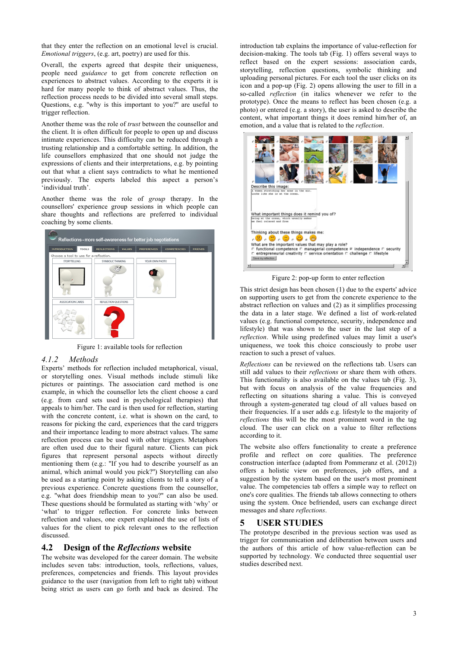that they enter the reflection on an emotional level is crucial. *Emotional triggers*, (e.g. art, poetry) are used for this.

Overall, the experts agreed that despite their uniqueness, people need *guidance* to get from concrete reflection on experiences to abstract values. According to the experts it is hard for many people to think of abstract values. Thus, the reflection process needs to be divided into several small steps. Questions, e.g. ''why is this important to you?'' are useful to trigger reflection.

Another theme was the role of *trust* between the counsellor and the client. It is often difficult for people to open up and discuss intimate experiences. This difficulty can be reduced through a trusting relationship and a comfortable setting. In addition, the life counsellors emphasized that one should not judge the expressions of clients and their interpretations, e.g. by pointing out that what a client says contradicts to what he mentioned previously. The experts labeled this aspect a person's 'individual truth'.

Another theme was the role of *group* therapy. In the counsellors' experience group sessions in which people can share thoughts and reflections are preferred to individual coaching by some clients.



Figure 1: available tools for reflection

#### *4.1.2 Methods*

Experts' methods for reflection included metaphorical, visual, or storytelling ones. Visual methods include stimuli like pictures or paintings. The association card method is one example, in which the counsellor lets the client choose a card (e.g. from card sets used in psychological therapies) that appeals to him/her. The card is then used for reflection, starting with the concrete content, i.e. what is shown on the card, to reasons for picking the card, experiences that the card triggers and their importance leading to more abstract values. The same reflection process can be used with other triggers. Metaphors are often used due to their figural nature. Clients can pick figures that represent personal aspects without directly mentioning them (e.g.: ''If you had to describe yourself as an animal, which animal would you pick?'') Storytelling can also be used as a starting point by asking clients to tell a story of a previous experience. Concrete questions from the counsellor, e.g. ''what does friendship mean to you?'' can also be used. These questions should be formulated as starting with 'why' or 'what' to trigger reflection. For concrete links between reflection and values, one expert explained the use of lists of values for the client to pick relevant ones to the reflection discussed.

#### **4.2 Design of the** *Reflections* **website**

The website was developed for the career domain. The website includes seven tabs: introduction, tools, reflections, values, preferences, competencies and friends. This layout provides guidance to the user (navigation from left to right tab) without being strict as users can go forth and back as desired. The

introduction tab explains the importance of value-reflection for decision-making. The tools tab (Fig. 1) offers several ways to reflect based on the expert sessions: association cards, storytelling, reflection questions, symbolic thinking and uploading personal pictures. For each tool the user clicks on its icon and a pop-up (Fig. 2) opens allowing the user to fill in a so-called *reflection* (in italics whenever we refer to the prototype). Once the means to reflect has been chosen (e.g. a photo) or entered (e.g. a story), the user is asked to describe the content, what important things it does remind him/her of, an emotion, and a value that is related to the *reflection*.



Figure 2: pop-up form to enter reflection

This strict design has been chosen (1) due to the experts' advice on supporting users to get from the concrete experience to the abstract reflection on values and (2) as it simplifies processing the data in a later stage. We defined a list of work-related values (e.g. functional competence, security, independence and lifestyle) that was shown to the user in the last step of a *reflection*. While using predefined values may limit a user's uniqueness, we took this choice consciously to probe user reaction to such a preset of values.

*Reflections* can be reviewed on the reflections tab. Users can still add values to their *reflections* or share them with others. This functionality is also available on the values tab (Fig. 3), but with focus on analysis of the value frequencies and reflecting on situations sharing a value. This is conveyed through a system-generated tag cloud of all values based on their frequencies. If a user adds e.g. lifestyle to the majority of *reflections* this will be the most prominent word in the tag cloud. The user can click on a value to filter reflections according to it.

The website also offers functionality to create a preference profile and reflect on core qualities. The preference construction interface (adapted from Pommeranz et al. (2012)) offers a holistic view on preferences, job offers, and a suggestion by the system based on the user's most prominent value. The competencies tab offers a simple way to reflect on one's core qualities. The friends tab allows connecting to others using the system. Once befriended, users can exchange direct messages and share *reflections*.

#### **5 USER STUDIES**

The prototype described in the previous section was used as trigger for communication and deliberation between users and the authors of this article of how value-reflection can be supported by technology. We conducted three sequential user studies described next.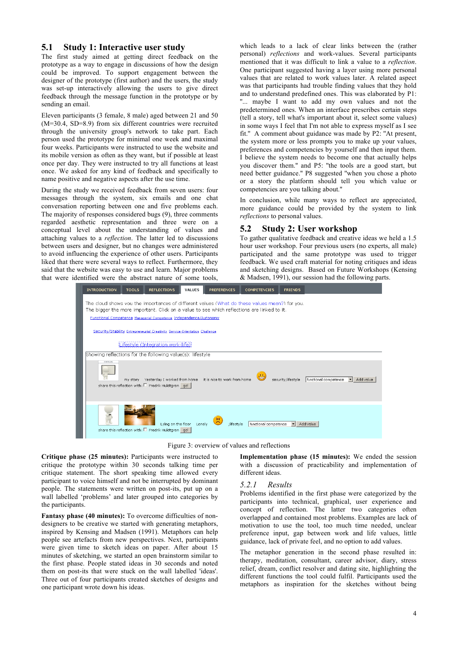### **5.1 Study 1: Interactive user study**

The first study aimed at getting direct feedback on the prototype as a way to engage in discussions of how the design could be improved. To support engagement between the designer of the prototype (first author) and the users, the study was set-up interactively allowing the users to give direct feedback through the message function in the prototype or by sending an email.

Eleven participants (3 female, 8 male) aged between 21 and 50  $(M=30.4, SD=8.9)$  from six different countries were recruited through the university group's network to take part. Each person used the prototype for minimal one week and maximal four weeks. Participants were instructed to use the website and its mobile version as often as they want, but if possible at least once per day. They were instructed to try all functions at least once. We asked for any kind of feedback and specifically to name positive and negative aspects after the use time.

During the study we received feedback from seven users: four messages through the system, six emails and one chat conversation reporting between one and five problems each. The majority of responses considered bugs (9), three comments regarded aesthetic representation and three were on a conceptual level about the understanding of values and attaching values to a *reflection*. The latter led to discussions between users and designer, but no changes were administered to avoid influencing the experience of other users. Participants liked that there were several ways to reflect. Furthermore, they said that the website was easy to use and learn. Major problems that were identified were the abstract nature of some tools,

which leads to a lack of clear links between the (rather personal) *reflections* and work-values. Several participants mentioned that it was difficult to link a value to a *reflection*. One participant suggested having a layer using more personal values that are related to work values later. A related aspect was that participants had trouble finding values that they hold and to understand predefined ones. This was elaborated by P1: "... maybe I want to add my own values and not the predetermined ones. When an interface prescribes certain steps (tell a story, tell what's important about it, select some values) in some ways I feel that I'm not able to express myself as I see fit.'' A comment about guidance was made by P2: ''At present, the system more or less prompts you to make up your values, preferences and competencies by yourself and then input them. I believe the system needs to become one that actually helps you discover them.'' and P5: ''the tools are a good start, but need better guidance.'' P8 suggested ''when you chose a photo or a story the platform should tell you which value or competencies are you talking about.''

In conclusion, while many ways to reflect are appreciated, more guidance could be provided by the system to link *reflections* to personal values.

#### **5.2 Study 2: User workshop**

To gather qualitative feedback and creative ideas we held a 1.5 hour user workshop. Four previous users (no experts, all male) participated and the same prototype was used to trigger feedback. We used craft material for noting critiques and ideas and sketching designs. Based on Future Workshops (Kensing & Madsen, 1991), our session had the following parts.



Figure 3: overview of values and reflections

**Critique phase (25 minutes):** Participants were instructed to critique the prototype within 30 seconds talking time per critique statement. The short speaking time allowed every participant to voice himself and not be interrupted by dominant people. The statements were written on post-its, put up on a wall labelled 'problems' and later grouped into categories by the participants.

**Fantasy phase (40 minutes):** To overcome difficulties of nondesigners to be creative we started with generating metaphors, inspired by Kensing and Madsen (1991). Metaphors can help people see artefacts from new perspectives. Next, participants were given time to sketch ideas on paper. After about 15 minutes of sketching, we started an open brainstorm similar to the first phase. People stated ideas in 30 seconds and noted them on post-its that were stuck on the wall labelled 'ideas'. Three out of four participants created sketches of designs and one participant wrote down his ideas.

**Implementation phase (15 minutes):** We ended the session with a discussion of practicability and implementation of different ideas.

#### *5.2.1 Results*

Problems identified in the first phase were categorized by the participants into technical, graphical, user experience and concept of reflection. The latter two categories often overlapped and contained most problems. Examples are lack of motivation to use the tool, too much time needed, unclear preference input, gap between work and life values, little guidance, lack of private feel, and no option to add values.

The metaphor generation in the second phase resulted in: therapy, meditation, consultant, career advisor, diary, stress relief, dream, conflict resolver and dating site, highlighting the different functions the tool could fulfil. Participants used the metaphors as inspiration for the sketches without being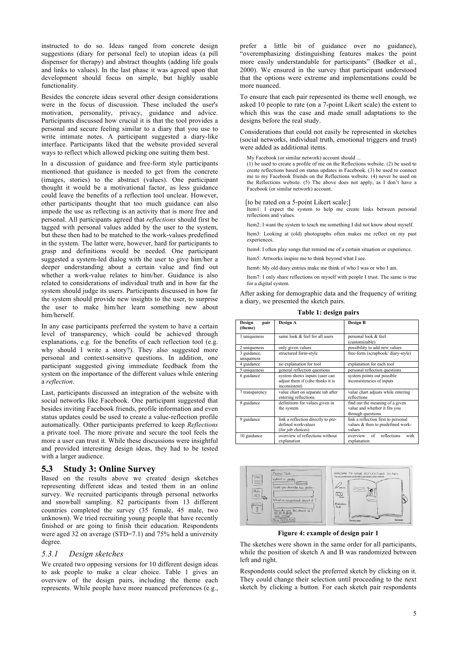instructed to do so. Ideas ranged from concrete design suggestions (diary for personal feel) to utopian ideas (a pill dispenser for therapy) and abstract thoughts (adding life goals and links to values). In the last phase it was agreed upon that development should focus on simple, but highly usable functionality.

Besides the concrete ideas several other design considerations were in the focus of discussion. These included the user's motivation, personality, privacy, guidance and advice. Participants discussed how crucial it is that the tool provides a personal and secure feeling similar to a diary that you use to write intimate notes. A participant suggested a diary-like interface. Participants liked that the website provided several ways to reflect which allowed picking one suiting them best.

In a discussion of guidance and free-form style participants mentioned that guidance is needed to get from the concrete (images, stories) to the abstract (values). One participant thought it would be a motivational factor, as less guidance could leave the benefits of a reflection tool unclear. However, other participants thought that too much guidance can also impede the use as reflecting is an activity that is more free and personal. All participants agreed that *reflections* should first be tagged with personal values added by the user to the system, but these then had to be matched to the work-values predefined in the system. The latter were, however, hard for participants to grasp and definitions would be needed. One participant suggested a system-led dialog with the user to give him/her a deeper understanding about a certain value and find out whether a work-value relates to him/her. Guidance is also related to considerations of individual truth and in how far the system should judge its users. Participants discussed in how far the system should provide new insights to the user, to surprise the user to make him/her learn something new about him/herself.

In any case participants preferred the system to have a certain level of transparency, which could be achieved through explanations, e.g. for the benefits of each reflection tool (e.g. why should I write a story?). They also suggested more personal and context-sensitive questions. In addition, one participant suggested giving immediate feedback from the system on the importance of the different values while entering a *reflection*.

Last, participants discussed an integration of the website with social networks like Facebook. One participant suggested that besides inviting Facebook friends, profile information and even status updates could be used to create a value-reflection profile automatically. Other participants preferred to keep *Reflections* a private tool. The more private and secure the tool feels the more a user can trust it. While these discussions were insightful and provided interesting design ideas, they had to be tested with a larger audience.

#### **5.3 Study 3: Online Survey**

Based on the results above we created design sketches representing different ideas and tested them in an online survey. We recruited participants through personal networks and snowball sampling. 82 participants from 13 different countries completed the survey (35 female, 45 male, two unknown). We tried recruiting young people that have recently finished or are going to finish their education. Respondents were aged 32 on average (STD=7.1) and 75% held a university degree.

#### *5.3.1 Design sketches*

We created two opposing versions for 10 different design ideas to ask people to make a clear choice. Table 1 gives an overview of the design pairs, including the theme each represents. While people have more nuanced preferences (e.g.,

prefer a little bit of guidance over no guidance), "overemphasizing distinguishing features makes the point more easily understandable for participants" (Bødker et al., 2000). We ensured in the survey that participant understood that the options were extreme and implementations could be more nuanced.

To ensure that each pair represented its theme well enough, we asked 10 people to rate (on a 7-point Likert scale) the extent to which this was the case and made small adaptations to the designs before the real study.

Considerations that could not easily be represented in sketches (social networks, individual truth, emotional triggers and trust) were added as additional items.

My Facebook (or similar network) account should ...

(1) be used to create a profile of me on the Reflections website. (2) be used to create reflections based on status updates in Facebook. (3) be used to connect me to my Facebook friends on the Reflections website. (4) never be used on the Reflections website. (5) The above does not apply, as I don't have a Facebook (or similar network) account.

#### [to be rated on a 5-point Likert scale:]

Item1: I expect the system to help me create links between personal reflections and values.

Item2: I want the system to teach me something I did not know about myself.

Item3: Looking at (old) photographs often makes me reflect on my past experiences.

Item4: I often play songs that remind me of a certain situation or experience.

Item5: Artworks inspire me to think beyond what I see.

Item6: My old diary entries make me think of who I was or who I am.

Item7: I only share reflections on myself with people I trust. The same is true for a digital system.

After asking for demographic data and the frequency of writing a diary, we presented the sketch pairs.

**Table 1: design pairs**

| pair<br>Design<br>(theme) | Design A                                                                             | <b>Design B</b>                                                                       |
|---------------------------|--------------------------------------------------------------------------------------|---------------------------------------------------------------------------------------|
| 1 uniqueness              | same look & feel for all users                                                       | personal look & feel<br>(customizable)                                                |
| 2 uniqueness              | only given values                                                                    | possibility to add new values                                                         |
| 3 guidance,<br>uniqueness | structured form-style                                                                | free-form (scrapbook/diary-style)                                                     |
| 4 guidance                | no explanation for tool                                                              | explanation for each tool                                                             |
| 5 uniqueness              | general reflection questions                                                         | personal reflection questions                                                         |
| 6 guidance                | system shows inputs (user can<br>adjust them if (s) he thinks it is<br>inconsistent) | system points out possible<br>inconsistencies of inputs                               |
| 7 transparency            | value chart on separate tab after<br>entering reflections                            | value chart adjusts while entering<br>reflections                                     |
| 8 guidance                | definitions for values given in<br>the system                                        | find out the meaning of a given<br>value and whether it fits you<br>through questions |
| 9 guidance                | link a reflection directly to pre-<br>defined workvalues<br>(for job choices)        | link a reflection first to personal<br>values & then to predefined work-<br>values    |
| 10 guidance               | overview of reflections without<br>explanation                                       | reflections<br>of<br>with<br>overview<br>explanation                                  |



**Figure 4: example of design pair 1** 

The sketches were shown in the same order for all participants, while the position of sketch A and B was randomized between left and right.

Respondents could select the preferred sketch by clicking on it. They could change their selection until proceeding to the next sketch by clicking a button. For each sketch pair respondents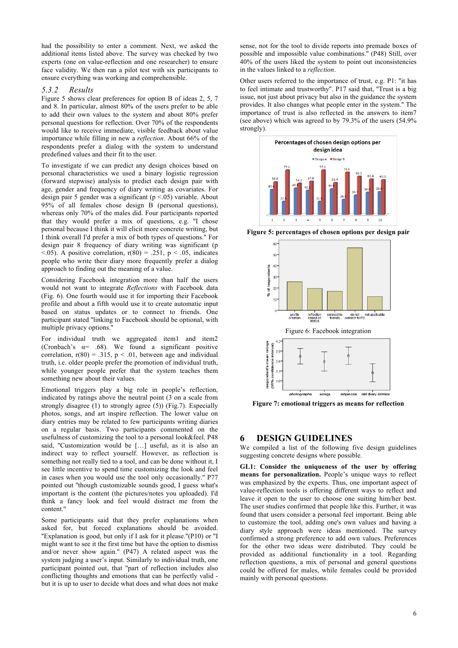had the possibility to enter a comment. Next, we asked the additional items listed above. The survey was checked by two experts (one on value-reflection and one researcher) to ensure face validity. We then ran a pilot test with six participants to ensure everything was working and comprehensible.

#### *5.3.2 Results*

Figure 5 shows clear preferences for option B of ideas 2, 5, 7 and 8. In particular, almost 80% of the users prefer to be able to add their own values to the system and about 80% prefer personal questions for reflection. Over 70% of the respondents would like to receive immediate, visible feedback about value importance while filling in new a *reflection*. About 66% of the respondents prefer a dialog with the system to understand predefined values and their fit to the user.

To investigate if we can predict any design choices based on personal characteristics we used a binary logistic regression (forward stepwise) analysis to predict each design pair with age, gender and frequency of diary writing as covariates. For design pair 5 gender was a significant (p <.05) variable. About 95% of all females chose design B (personal questions), whereas only 70% of the males did. Four participants reported that they would prefer a mix of questions, e.g. "I chose personal because I think it will elicit more concrete writing, but I think overall I'd prefer a mix of both types of questions.'' For design pair 8 frequency of diary writing was significant (p  $\leq$ .05). A positive correlation, r(80) = .251, p  $\leq$  .05, indicates people who write their diary more frequently prefer a dialog approach to finding out the meaning of a value.

Considering Facebook integration more than half the users would not want to integrate *Reflections* with Facebook data (Fig. 6). One fourth would use it for importing their Facebook profile and about a fifth would use it to create automatic input based on status updates or to connect to friends. One participant stated ''linking to Facebook should be optional, with multiple privacy options.''

For individual truth we aggregated item1 and item2 (Cronbach's  $\alpha$ = .68). We found a significant positive correlation,  $r(80) = .315$ ,  $p < .01$ , between age and individual truth, i.e. older people prefer the promotion of individual truth, while younger people prefer that the system teaches them something new about their values.

Emotional triggers play a big role in people's reflection, indicated by ratings above the neutral point (3 on a scale from strongly disagree (1) to strongly agree (5)) (Fig.7). Especially photos, songs, and art inspire reflection. The lower value on diary entries may be related to few participants writing diaries on a regular basis. Two participants commented on the usefulness of customizing the tool to a personal look&feel. P48 said, "Customization would be [...] useful, as it is also an indirect way to reflect yourself. However, as reflection is something not really tied to a tool, and can be done without it, I see little incentive to spend time customizing the look and feel in cases when you would use the tool only occasionally.'' P77 pointed out ''though customizable sounds good, I guess what's important is the content (the pictures/notes you uploaded). I'd think a fancy look and feel would distract me from the content.''

Some participants said that they prefer explanations when asked for, but forced explanations should be avoided. ''Explanation is good, but only if I ask for it please.''(P10) or ''I might want to see it the first time but have the option to dismiss and/or never show again.'' (P47) A related aspect was the system judging a user's input. Similarly to individual truth, one participant pointed out, that ''part of reflection includes also conflicting thoughts and emotions that can be perfectly valid but it is up to user to decide what does and what does not make sense, not for the tool to divide reports into premade boxes of possible and impossible value combinations.'' (P48) Still, over 40% of the users liked the system to point out inconsistencies in the values linked to a *reflection*.

Other users referred to the importance of trust, e.g. P1: ''it has to feel intimate and trustworthy''. P17 said that, ''Trust is a big issue, not just about privacy but also in the guidance the system provides. It also changes what people enter in the system.'' The importance of trust is also reflected in the answers to item7 (see above) which was agreed to by 79.3% of the users (54.9% strongly).



**Figure 5: percentages of chosen options per design pair**





**Figure 7: emotional triggers as means for reflection**

#### **6 DESIGN GUIDELINES**

We compiled a list of the following five design guidelines suggesting concrete designs where possible.

**GL1: Consider the uniqueness of the user by offering means for personalization.** People's unique ways to reflect was emphasized by the experts. Thus, one important aspect of value-reflection tools is offering different ways to reflect and leave it open to the user to choose one suiting him/her best. The user studies confirmed that people like this. Further, it was found that users consider a personal feel important. Being able to customize the tool, adding one's own values and having a diary style approach were ideas mentioned. The survey confirmed a strong preference to add own values. Preferences for the other two ideas were distributed. They could be provided as additional functionality in a tool. Regarding reflection questions, a mix of personal and general questions could be offered for males, while females could be provided mainly with personal questions.